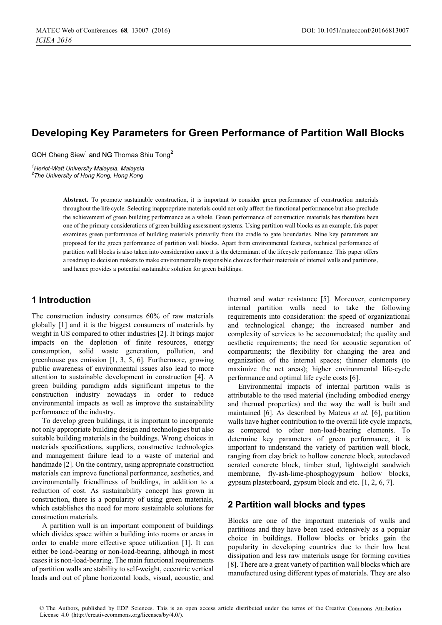# **Developing Key Parameters for Green Performance of Partition Wall Blocks**

GOH Cheng Siew<sup>1</sup> and NG Thomas Shiu Tong<sup>2</sup>

<sup>1</sup> Heriot-Watt University Malaysia, Malaysia *Heriot-Watt University Malaysia, Malaysia 2 The University of Hong Kong, Hong Kong* 

> **Abstract.** To promote sustainable construction, it is important to consider green performance of construction materials throughout the life cycle. Selecting inappropriate materials could not only affect the functional performance but also preclude the achievement of green building performance as a whole. Green performance of construction materials has therefore been one of the primary considerations of green building assessment systems. Using partition wall blocks as an example, this paper examines green performance of building materials primarily from the cradle to gate boundaries. Nine key parameters are proposed for the green performance of partition wall blocks. Apart from environmental features, technical performance of partition wall blocks is also taken into consideration since it is the determinant of the lifecycle performance. This paper offers a roadmap to decision makers to make environmentally responsible choices for their materials of internal walls and partitions, and hence provides a potential sustainable solution for green buildings.

# **1 Introduction**

The construction industry consumes 60% of raw materials globally [1] and it is the biggest consumers of materials by weight in US compared to other industries [2]. It brings major impacts on the depletion of finite resources, energy consumption, solid waste generation, pollution, and greenhouse gas emission [1, 3, 5, 6]. Furthermore, growing public awareness of environmental issues also lead to more attention to sustainable development in construction [4]. A green building paradigm adds significant impetus to the construction industry nowadays in order to reduce environmental impacts as well as improve the sustainability performance of the industry.

To develop green buildings, it is important to incorporate not only appropriate building design and technologies but also suitable building materials in the buildings. Wrong choices in materials specifications, suppliers, constructive technologies and management failure lead to a waste of material and handmade [2]. On the contrary, using appropriate construction materials can improve functional performance, aesthetics, and environmentally friendliness of buildings, in addition to a reduction of cost. As sustainability concept has grown in construction, there is a popularity of using green materials, which establishes the need for more sustainable solutions for construction materials.

A partition wall is an important component of buildings which divides space within a building into rooms or areas in order to enable more effective space utilization [1]. It can either be load-bearing or non-load-bearing, although in most cases it is non-load-bearing. The main functional requirements of partition walls are stability to self-weight, eccentric vertical loads and out of plane horizontal loads, visual, acoustic, and

thermal and water resistance [5]. Moreover, contemporary internal partition walls need to take the following requirements into consideration: the speed of organizational and technological change; the increased number and complexity of services to be accommodated; the quality and aesthetic requirements; the need for acoustic separation of compartments; the flexibility for changing the area and organization of the internal spaces; thinner elements (to maximize the net areas); higher environmental life-cycle performance and optimal life cycle costs [6].

Environmental impacts of internal partition walls is attributable to the used material (including embodied energy and thermal properties) and the way the wall is built and maintained [6]. As described by Mateus *et al.* [6], partition walls have higher contribution to the overall life cycle impacts, as compared to other non-load-bearing elements. To determine key parameters of green performance, it is important to understand the variety of partition wall block, ranging from clay brick to hollow concrete block, autoclaved aerated concrete block, timber stud, lightweight sandwich membrane, fly-ash-lime-phosphogypsum hollow blocks, gypsum plasterboard, gypsum block and etc. [1, 2, 6, 7].

# **2 Partition wall blocks and types**

Blocks are one of the important materials of walls and partitions and they have been used extensively as a popular choice in buildings. Hollow blocks or bricks gain the popularity in developing countries due to their low heat dissipation and less raw materials usage for forming cavities [8]. There are a great variety of partition wall blocks which are manufactured using different types of materials. They are also

© The Authors, published by EDP Sciences. This is an open access article distributed under the terms of the Creative Commons Attribution License 4.0 [\(http://creativecommons.org/licenses/by/4.0/\).](http://creativecommons.org/licenses/by/4.0/)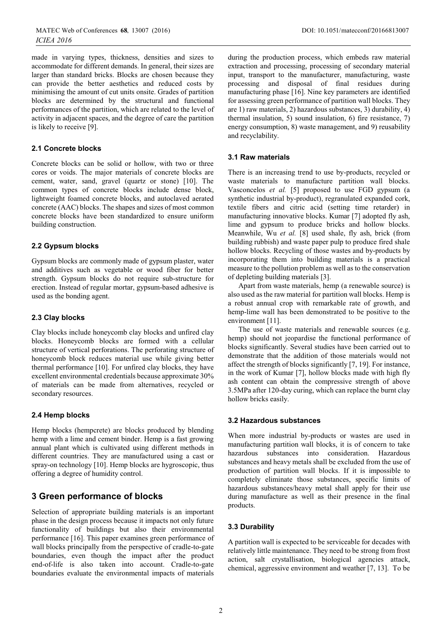made in varying types, thickness, densities and sizes to accommodate for different demands. In general, their sizes are larger than standard bricks. Blocks are chosen because they can provide the better aesthetics and reduced costs by minimising the amount of cut units onsite. Grades of partition blocks are determined by the structural and functional performances of the partition, which are related to the level of activity in adjacent spaces, and the degree of care the partition is likely to receive [9].

#### **2.1 Concrete blocks**

Concrete blocks can be solid or hollow, with two or three cores or voids. The major materials of concrete blocks are cement, water, sand, gravel (quartz or stone) [10]. The common types of concrete blocks include dense block, lightweight foamed concrete blocks, and autoclaved aerated concrete (AAC) blocks. The shapes and sizes of most common concrete blocks have been standardized to ensure uniform building construction.

#### **2.2 Gypsum blocks**

Gypsum blocks are commonly made of gypsum plaster, water and additives such as vegetable or wood fiber for better strength. Gypsum blocks do not require sub-structure for erection. Instead of regular mortar, gypsum-based adhesive is used as the bonding agent.

#### **2.3 Clay blocks**

Clay blocks include honeycomb clay blocks and unfired clay blocks. Honeycomb blocks are formed with a cellular structure of vertical perforations. The perforating structure of honeycomb block reduces material use while giving better thermal performance [10]. For unfired clay blocks, they have excellent environmental credentials because approximate 30% of materials can be made from alternatives, recycled or secondary resources.

#### **2.4 Hemp blocks**

Hemp blocks (hempcrete) are blocks produced by blending hemp with a lime and cement binder. Hemp is a fast growing annual plant which is cultivated using different methods in different countries. They are manufactured using a cast or spray-on technology [10]. Hemp blocks are hygroscopic, thus offering a degree of humidity control.

# **3 Green performance of blocks**

Selection of appropriate building materials is an important phase in the design process because it impacts not only future functionality of buildings but also their environmental performance [16]. This paper examines green performance of wall blocks principally from the perspective of cradle-to-gate boundaries, even though the impact after the product end-of-life is also taken into account. Cradle-to-gate boundaries evaluate the environmental impacts of materials

during the production process, which embeds raw material extraction and processing, processing of secondary material input, transport to the manufacturer, manufacturing, waste processing and disposal of final residues during manufacturing phase [16]. Nine key parameters are identified for assessing green performance of partition wall blocks. They are 1) raw materials, 2) hazardous substances, 3) durability, 4) thermal insulation, 5) sound insulation, 6) fire resistance, 7) energy consumption, 8) waste management, and 9) reusability and recyclability.

#### **3.1 Raw materials**

There is an increasing trend to use by-products, recycled or waste materials to manufacture partition wall blocks. Vasconcelos *et al.* [5] proposed to use FGD gypsum (a synthetic industrial by-product), regranulated expanded cork, textile fibers and citric acid (setting time retarder) in manufacturing innovative blocks. Kumar [7] adopted fly ash, lime and gypsum to produce bricks and hollow blocks. Meanwhile, Wu *et al.* [8] used shale, fly ash, brick (from building rubbish) and waste paper pulp to produce fired shale hollow blocks. Recycling of those wastes and by-products by incorporating them into building materials is a practical measure to the pollution problem as well as to the conservation of depleting building materials [3].

Apart from waste materials, hemp (a renewable source) is also used as the raw material for partition wall blocks. Hemp is a robust annual crop with remarkable rate of growth, and hemp-lime wall has been demonstrated to be positive to the environment [11].

The use of waste materials and renewable sources (e.g. hemp) should not jeopardise the functional performance of blocks significantly. Several studies have been carried out to demonstrate that the addition of those materials would not affect the strength of blocks significantly [7, 19]. For instance, in the work of Kumar [7], hollow blocks made with high fly ash content can obtain the compressive strength of above 3.5MPa after 120-day curing, which can replace the burnt clay hollow bricks easily.

#### **3.2 Hazardous substances**

When more industrial by-products or wastes are used in manufacturing partition wall blocks, it is of concern to take hazardous substances into consideration. Hazardous substances and heavy metals shall be excluded from the use of production of partition wall blocks. If it is impossible to completely eliminate those substances, specific limits of hazardous substances/heavy metal shall apply for their use during manufacture as well as their presence in the final products.

#### **3.3 Durability**

A partition wall is expected to be serviceable for decades with relatively little maintenance. They need to be strong from frost action, salt crystallisation, biological agencies attack, chemical, aggressive environment and weather [7, 13]. To be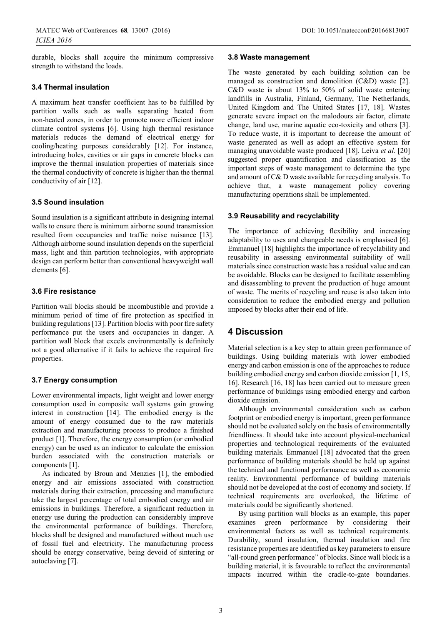durable, blocks shall acquire the minimum compressive strength to withstand the loads.

### **3.4 Thermal insulation**

A maximum heat transfer coefficient has to be fulfilled by partition walls such as walls separating heated from non-heated zones, in order to promote more efficient indoor climate control systems [6]. Using high thermal resistance materials reduces the demand of electrical energy for cooling/heating purposes considerably [12]. For instance, introducing holes, cavities or air gaps in concrete blocks can improve the thermal insulation properties of materials since the thermal conductivity of concrete is higher than the thermal conductivity of air [12].

# **3.5 Sound insulation**

Sound insulation is a significant attribute in designing internal walls to ensure there is minimum airborne sound transmission resulted from occupancies and traffic noise nuisance [13]. Although airborne sound insulation depends on the superficial mass, light and thin partition technologies, with appropriate design can perform better than conventional heavyweight wall elements [6].

### **3.6 Fire resistance**

Partition wall blocks should be incombustible and provide a minimum period of time of fire protection as specified in building regulations [13]. Partition blocks with poor fire safety performance put the users and occupancies in danger. A partition wall block that excels environmentally is definitely not a good alternative if it fails to achieve the required fire properties.

# **3.7 Energy consumption**

Lower environmental impacts, light weight and lower energy consumption used in composite wall systems gain growing interest in construction [14]. The embodied energy is the amount of energy consumed due to the raw materials extraction and manufacturing process to produce a finished product [1]. Therefore, the energy consumption (or embodied energy) can be used as an indicator to calculate the emission burden associated with the construction materials or components [1].

As indicated by Broun and Menzies [1], the embodied energy and air emissions associated with construction materials during their extraction, processing and manufacture take the largest percentage of total embodied energy and air emissions in buildings. Therefore, a significant reduction in energy use during the production can considerably improve the environmental performance of buildings. Therefore, blocks shall be designed and manufactured without much use of fossil fuel and electricity. The manufacturing process should be energy conservative, being devoid of sintering or autoclaving [7].

#### **3.8 Waste management**

The waste generated by each building solution can be managed as construction and demolition (C&D) waste [2]. C&D waste is about 13% to 50% of solid waste entering landfills in Australia, Finland, Germany, The Netherlands, United Kingdom and The United States [17, 18]. Wastes generate severe impact on the malodours air factor, climate change, land use, marine aquatic eco-toxicity and others [3]. To reduce waste, it is important to decrease the amount of waste generated as well as adopt an effective system for managing unavoidable waste produced [18]. Leiva *et al*. [20] suggested proper quantification and classification as the important steps of waste management to determine the type and amount of C& D waste available for recycling analysis. To achieve that, a waste management policy covering manufacturing operations shall be implemented.

### **3.9 Reusability and recyclability**

The importance of achieving flexibility and increasing adaptability to uses and changeable needs is emphasised [6]. Emmanuel [18] highlights the importance of recyclability and reusability in assessing environmental suitability of wall materials since construction waste has a residual value and can be avoidable. Blocks can be designed to facilitate assembling and disassembling to prevent the production of huge amount of waste. The merits of recycling and reuse is also taken into consideration to reduce the embodied energy and pollution imposed by blocks after their end of life.

# **4 Discussion**

Material selection is a key step to attain green performance of buildings. Using building materials with lower embodied energy and carbon emission is one of the approaches to reduce building embodied energy and carbon dioxide emission [1, 15, 16]. Research [16, 18] has been carried out to measure green performance of buildings using embodied energy and carbon dioxide emission.

Although environmental consideration such as carbon footprint or embodied energy is important, green performance should not be evaluated solely on the basis of environmentally friendliness. It should take into account physical-mechanical properties and technological requirements of the evaluated building materials. Emmanuel [18] advocated that the green performance of building materials should be held up against the technical and functional performance as well as economic reality. Environmental performance of building materials should not be developed at the cost of economy and society. If technical requirements are overlooked, the lifetime of materials could be significantly shortened.

By using partition wall blocks as an example, this paper examines green performance by considering their environmental factors as well as technical requirements. Durability, sound insulation, thermal insulation and fire resistance properties are identified as key parameters to ensure "all-round green performance" of blocks. Since wall block is a building material, it is favourable to reflect the environmental impacts incurred within the cradle-to-gate boundaries.